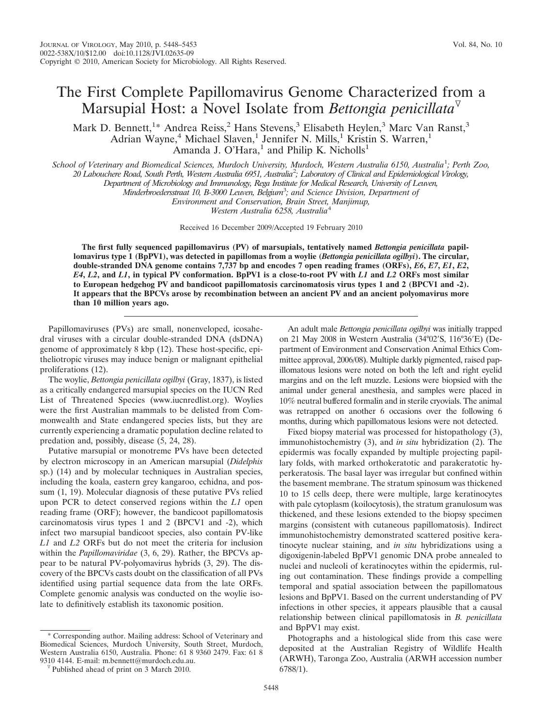## The First Complete Papillomavirus Genome Characterized from a Marsupial Host: a Novel Isolate from *Bettongia penicillata*

Mark D. Bennett,<sup>1</sup>\* Andrea Reiss,<sup>2</sup> Hans Stevens,<sup>3</sup> Elisabeth Heylen,<sup>3</sup> Marc Van Ranst,<sup>3</sup> Adrian Wayne,<sup>4</sup> Michael Slaven,<sup>1</sup> Jennifer N. Mills,<sup>1</sup> Kristin S. Warren,<sup>1</sup> Amanda J. O'Hara,<sup>1</sup> and Philip K. Nicholls<sup>1</sup>

*School of Veterinary and Biomedical Sciences, Murdoch University, Murdoch, Western Australia 6150, Australia*<sup>1</sup> *; Perth Zoo,*

*20 Labouchere Road, South Perth, Western Australia 6951, Australia*<sup>2</sup> *; Laboratory of Clinical and Epidemiological Virology,*

*Department of Microbiology and Immunology, Rega Institute for Medical Research, University of Leuven,*

*Minderbroedersstraat 10, B-3000 Leuven, Belgium*<sup>3</sup> *; and Science Division, Department of*

*Environment and Conservation, Brain Street, Manjimup,*

*Western Australia 6258, Australia*<sup>4</sup>

Received 16 December 2009/Accepted 19 February 2010

**The first fully sequenced papillomavirus (PV) of marsupials, tentatively named** *Bettongia penicillata* **papillomavirus type 1 (BpPV1), was detected in papillomas from a woylie (***Bettongia penicillata ogilbyi***). The circular, double-stranded DNA genome contains 7,737 bp and encodes 7 open reading frames (ORFs),** *E6***,** *E7***,** *E1***,** *E2***,** *E4***,** *L2***, and** *L1***, in typical PV conformation. BpPV1 is a close-to-root PV with** *L1* **and** *L2* **ORFs most similar to European hedgehog PV and bandicoot papillomatosis carcinomatosis virus types 1 and 2 (BPCV1 and -2). It appears that the BPCVs arose by recombination between an ancient PV and an ancient polyomavirus more than 10 million years ago.**

Papillomaviruses (PVs) are small, nonenveloped, icosahedral viruses with a circular double-stranded DNA (dsDNA) genome of approximately 8 kbp (12). These host-specific, epitheliotropic viruses may induce benign or malignant epithelial proliferations (12).

The woylie, *Bettongia penicillata ogilbyi* (Gray, 1837), is listed as a critically endangered marsupial species on the IUCN Red List of Threatened Species (www.iucnredlist.org). Woylies were the first Australian mammals to be delisted from Commonwealth and State endangered species lists, but they are currently experiencing a dramatic population decline related to predation and, possibly, disease (5, 24, 28).

Putative marsupial or monotreme PVs have been detected by electron microscopy in an American marsupial (*Didelphis* sp.) (14) and by molecular techniques in Australian species, including the koala, eastern grey kangaroo, echidna, and possum (1, 19). Molecular diagnosis of these putative PVs relied upon PCR to detect conserved regions within the *L1* open reading frame (ORF); however, the bandicoot papillomatosis carcinomatosis virus types 1 and 2 (BPCV1 and -2), which infect two marsupial bandicoot species, also contain PV-like *L1* and *L2* ORFs but do not meet the criteria for inclusion within the *Papillomaviridae* (3, 6, 29). Rather, the BPCVs appear to be natural PV-polyomavirus hybrids (3, 29). The discovery of the BPCVs casts doubt on the classification of all PVs identified using partial sequence data from the late ORFs. Complete genomic analysis was conducted on the woylie isolate to definitively establish its taxonomic position.

\* Corresponding author. Mailing address: School of Veterinary and Biomedical Sciences, Murdoch University, South Street, Murdoch, Western Australia 6150, Australia. Phone: 61 8 9360 2479. Fax: 61 8

An adult male *Bettongia penicillata ogilbyi* was initially trapped on 21 May 2008 in Western Australia (34°02′S, 116°36′E) (Department of Environment and Conservation Animal Ethics Committee approval, 2006/08). Multiple darkly pigmented, raised papillomatous lesions were noted on both the left and right eyelid margins and on the left muzzle. Lesions were biopsied with the animal under general anesthesia, and samples were placed in 10% neutral buffered formalin and in sterile cryovials. The animal was retrapped on another 6 occasions over the following 6 months, during which papillomatous lesions were not detected.

Fixed biopsy material was processed for histopathology (3), immunohistochemistry (3), and *in situ* hybridization (2). The epidermis was focally expanded by multiple projecting papillary folds, with marked orthokeratotic and parakeratotic hyperkeratosis. The basal layer was irregular but confined within the basement membrane. The stratum spinosum was thickened 10 to 15 cells deep, there were multiple, large keratinocytes with pale cytoplasm (koilocytosis), the stratum granulosum was thickened, and these lesions extended to the biopsy specimen margins (consistent with cutaneous papillomatosis). Indirect immunohistochemistry demonstrated scattered positive keratinocyte nuclear staining, and *in situ* hybridizations using a digoxigenin-labeled BpPV1 genomic DNA probe annealed to nuclei and nucleoli of keratinocytes within the epidermis, ruling out contamination. These findings provide a compelling temporal and spatial association between the papillomatous lesions and BpPV1. Based on the current understanding of PV infections in other species, it appears plausible that a causal relationship between clinical papillomatosis in *B. penicillata* and BpPV1 may exist.

Photographs and a histological slide from this case were deposited at the Australian Registry of Wildlife Health (ARWH), Taronga Zoo, Australia (ARWH accession number 6788/1).

<sup>&</sup>lt;sup> $\triangledown$ </sup> Published ahead of print on 3 March 2010.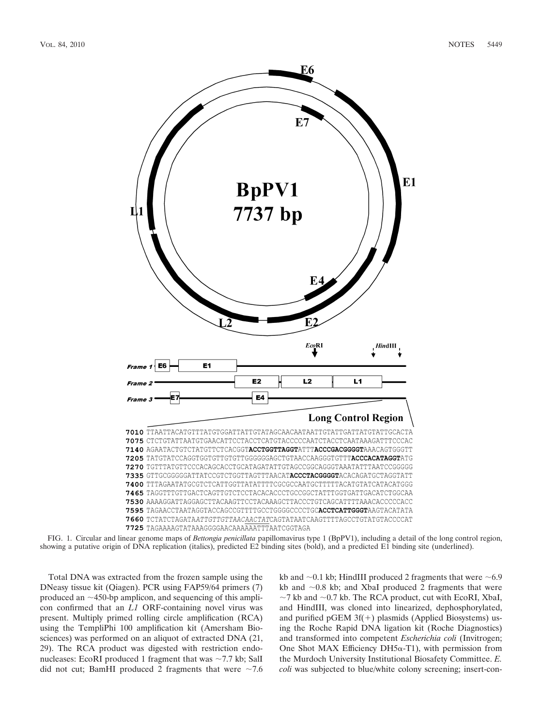

FIG. 1. Circular and linear genome maps of *Bettongia penicillata* papillomavirus type 1 (BpPV1), including a detail of the long control region, showing a putative origin of DNA replication (italics), predicted E2 binding sites (bold), and a predicted E1 binding site (underlined).

Total DNA was extracted from the frozen sample using the DNeasy tissue kit (Qiagen). PCR using FAP59/64 primers (7) produced an  $\sim$ 450-bp amplicon, and sequencing of this amplicon confirmed that an *L1* ORF-containing novel virus was present. Multiply primed rolling circle amplification (RCA) using the TempliPhi 100 amplification kit (Amersham Biosciences) was performed on an aliquot of extracted DNA (21, 29). The RCA product was digested with restriction endonucleases: EcoRI produced 1 fragment that was  $\sim$  7.7 kb; SalI did not cut; BamHI produced 2 fragments that were  $\sim$ 7.6

kb and  $\sim$ 0.1 kb; HindIII produced 2 fragments that were  $\sim$ 6.9 kb and  $\sim$ 0.8 kb; and XbaI produced 2 fragments that were  $\sim$ 7 kb and  $\sim$ 0.7 kb. The RCA product, cut with EcoRI, XbaI, and HindIII, was cloned into linearized, dephosphorylated, and purified pGEM  $3f(+)$  plasmids (Applied Biosystems) using the Roche Rapid DNA ligation kit (Roche Diagnostics) and transformed into competent *Escherichia coli* (Invitrogen; One Shot MAX Efficiency DH5 $\alpha$ -T1), with permission from the Murdoch University Institutional Biosafety Committee. *E. coli* was subjected to blue/white colony screening; insert-con-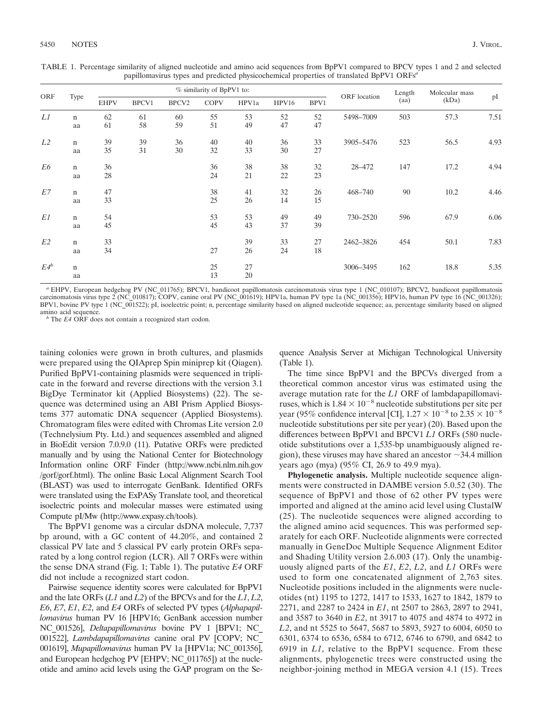TABLE 1. Percentage similarity of aligned nucleotide and amino acid sequences from BpPV1 compared to BPCV types 1 and 2 and selected papillomavirus types and predicted physicochemical properties of translated BpPV1 ORFs*<sup>a</sup>*

| ORF            | Type        | % similarity of BpPV1 to: |       |                   |             |       |       |      |              | Length | Molecular mass |      |
|----------------|-------------|---------------------------|-------|-------------------|-------------|-------|-------|------|--------------|--------|----------------|------|
|                |             | <b>EHPV</b>               | BPCV1 | BPCV <sub>2</sub> | <b>COPV</b> | HPV1a | HPV16 | BPV1 | ORF location | (aa)   | (kDa)          | pI   |
| L1             | $\mathbf n$ | 62                        | 61    | 60                | 55          | 53    | 52    | 52   | 5498-7009    | 503    | 57.3           | 7.51 |
|                | aa          | 61                        | 58    | 59                | 51          | 49    | 47    | 47   |              |        |                |      |
| L <sub>2</sub> | $\mathbf n$ | 39                        | 39    | 36                | 40          | 40    | 36    | 33   | 3905-5476    | 523    | 56.5           | 4.93 |
|                | aa          | 35                        | 31    | 30                | 32          | 33    | 30    | 27   |              |        |                |      |
| E6             | $\mathbf n$ | 36                        |       |                   | 36          | 38    | 38    | 32   | 28-472       | 147    | 17.2           | 4.94 |
|                | aa          | 28                        |       |                   | 24          | 21    | 22    | 23   |              |        |                |      |
| E7             | $\mathbf n$ | 47                        |       |                   | 38          | 41    | 32    | 26   | 468-740      | 90     | 10.2           | 4.46 |
|                | aa          | 33                        |       |                   | 25          | 26    | 14    | 15   |              |        |                |      |
| E1             | $\mathbf n$ | 54                        |       |                   | 53          | 53    | 49    | 49   | 730-2520     | 596    | 67.9           | 6.06 |
|                | aa          | 45                        |       |                   | 45          | 43    | 37    | 39   |              |        |                |      |
| E <sub>2</sub> | $\mathbf n$ | 33                        |       |                   |             | 39    | 33    | 27   | 2462-3826    | 454    | 50.1           | 7.83 |
|                | aa          | 34                        |       |                   | 27          | 26    | 24    | 18   |              |        |                |      |
| $E4^b$         | $\mathbf n$ |                           |       |                   | 25          | 27    |       |      | 3006-3495    | 162    | 18.8           | 5.35 |
|                | aa          |                           |       |                   | 13          | 20    |       |      |              |        |                |      |

*<sup>a</sup>* EHPV, European hedgehog PV (NC\_011765); BPCV1, bandicoot papillomatosis carcinomatosis virus type 1 (NC\_010107); BPCV2, bandicoot papillomatosis carcinomatosis virus type 2 (NC\_010817); COPV, canine oral PV (NC\_001619); HPV1a, human PV type 1a (NC\_001356); HPV16, human PV type 16 (NC\_001326); BPV1, bovine PV type 1 (NC\_001522); pI, isoelectric point; n, percentage similarity based on aligned nucleotide sequence; aa, percentage similarity based on aligned amino acid sequence.

 $b$  The *E4* ORF does not contain a recognized start codon.

taining colonies were grown in broth cultures, and plasmids were prepared using the QIAprep Spin miniprep kit (Qiagen). Purified BpPV1-containing plasmids were sequenced in triplicate in the forward and reverse directions with the version 3.1 BigDye Terminator kit (Applied Biosystems) (22). The sequence was determined using an ABI Prism Applied Biosystems 377 automatic DNA sequencer (Applied Biosystems). Chromatogram files were edited with Chromas Lite version 2.0 (Technelysium Pty. Ltd.) and sequences assembled and aligned in BioEdit version 7.0.9.0 (11). Putative ORFs were predicted manually and by using the National Center for Biotechnology Information online ORF Finder (http://www.ncbi.nlm.nih.gov /gorf/gorf.html). The online Basic Local Alignment Search Tool (BLAST) was used to interrogate GenBank. Identified ORFs were translated using the ExPASy Translate tool, and theoretical isoelectric points and molecular masses were estimated using Compute pI/Mw (http://www.expasy.ch/tools).

The BpPV1 genome was a circular dsDNA molecule, 7,737 bp around, with a GC content of 44.20%, and contained 2 classical PV late and 5 classical PV early protein ORFs separated by a long control region (LCR). All 7 ORFs were within the sense DNA strand (Fig. 1; Table 1). The putative *E4* ORF did not include a recognized start codon.

Pairwise sequence identity scores were calculated for BpPV1 and the late ORFs (*L1* and *L2*) of the BPCVs and for the *L1*, *L2*, *E6*, *E7*, *E1*, *E2*, and *E4* ORFs of selected PV types (*Alphapapillomavirus* human PV 16 [HPV16; GenBank accession number NC\_001526], *Deltapapillomavirus* bovine PV 1 [BPV1; NC\_ 001522], *Lambdapapillomavirus* canine oral PV [COPV; NC\_ 001619], *Mupapillomavirus* human PV 1a [HPV1a; NC\_001356], and European hedgehog PV [EHPV; NC\_011765]) at the nucleotide and amino acid levels using the GAP program on the Sequence Analysis Server at Michigan Technological University (Table 1).

The time since BpPV1 and the BPCVs diverged from a theoretical common ancestor virus was estimated using the average mutation rate for the *L1* ORF of lambdapapillomaviruses, which is  $1.84 \times 10^{-8}$  nucleotide substitutions per site per year (95% confidence interval [CI],  $1.27 \times 10^{-8}$  to  $2.35 \times 10^{-8}$ nucleotide substitutions per site per year) (20). Based upon the differences between BpPV1 and BPCV1 *L1* ORFs (580 nucleotide substitutions over a 1,535-bp unambiguously aligned region), these viruses may have shared an ancestor  $\sim$ 34.4 million years ago (mya) (95% CI, 26.9 to 49.9 mya).

**Phylogenetic analysis.** Multiple nucleotide sequence alignments were constructed in DAMBE version 5.0.52 (30). The sequence of BpPV1 and those of 62 other PV types were imported and aligned at the amino acid level using ClustalW (25). The nucleotide sequences were aligned according to the aligned amino acid sequences. This was performed separately for each ORF. Nucleotide alignments were corrected manually in GeneDoc Multiple Sequence Alignment Editor and Shading Utility version 2.6.003 (17). Only the unambiguously aligned parts of the *E1*, *E2*, *L2*, and *L1* ORFs were used to form one concatenated alignment of 2,763 sites. Nucleotide positions included in the alignments were nucleotides (nt) 1195 to 1272, 1417 to 1533, 1627 to 1842, 1879 to 2271, and 2287 to 2424 in *E1*, nt 2507 to 2863, 2897 to 2941, and 3587 to 3640 in *E2*, nt 3917 to 4075 and 4874 to 4972 in *L2*, and nt 5525 to 5647, 5687 to 5893, 5927 to 6004, 6050 to 6301, 6374 to 6536, 6584 to 6712, 6746 to 6790, and 6842 to 6919 in *L1*, relative to the BpPV1 sequence. From these alignments, phylogenetic trees were constructed using the neighbor-joining method in MEGA version 4.1 (15). Trees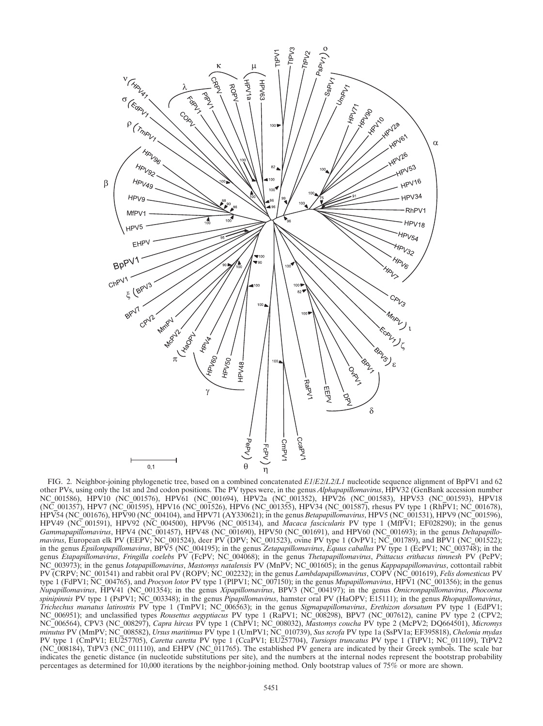

FIG. 2. Neighbor-joining phylogenetic tree, based on a combined concatenated *E1*/*E2*/*L2*/*L1* nucleotide sequence alignment of BpPV1 and 62 other PVs, using only the 1st and 2nd codon positions. The PV types were, in the genus *Alphapapillomavirus*, HPV32 (GenBank accession number NC\_001586), HPV10 (NC\_001576), HPV61 (NC\_001694), HPV2a (NC\_001352), HPV26 (NC\_001583), HPV53 (NC\_001593), HPV18 (NC\_001357), HPV7 (NC\_001595), HPV16 (NC\_001526), HPV6 (NC\_001355), HPV34 (NC\_001587), rhesus PV type 1 (RhPV1; NC\_001678), HPV54 (NC\_001676), HPV90 (NC\_004104), and HPV71 (AY330621); in the genus *Betapapillomavirus*, HPV5 (NC\_001531), HPV9 (NC\_001596), HPV49 (NC\_001591), HPV92 (NC\_004500), HPV96 (NC\_005134), and *Macaca fascicularis* PV type 1 (MfPV1; EF028290); in the genus *Gammapapillomavirus*, HPV4 (NC\_001457), HPV48 (NC\_001690), HPV50 (NC\_001691), and HPV60 (NC\_001693); in the genus *Deltapapillomavirus*, European elk PV (EEPV; NC\_001524), deer PV (DPV; NC\_001523), ovine PV type 1 (OvPV1; NC\_001789), and BPV1 (NC\_001522); in the genus *Epsilonpapillomavirus*, BPV5 (NC\_004195); in the genus *Zetapapillomavirus*, *Equus caballus* PV type 1 (EcPV1; NC\_003748); in the genus *Etapapillomavirus*, *Fringilla coelebs* PV (FcPV; NC\_004068); in the genus *Thetapapillomavirus*, *Psittacus erithacus timnesh* PV (PePV; NC\_003973); in the genus *Iotapapillomavirus*, *Mastomys natalensis* PV (MnPV; NC\_001605); in the genus *Kappapapillomavirus*, cottontail rabbit PV (CRPV; NC\_001541) and rabbit oral PV (ROPV; NC\_002232); in the genus *Lambdapapillomavirus*, COPV (NC\_001619), *Felis domesticus* PV type 1 (FdPV1; NC\_004765), and *Procyon lotor* PV type 1 (PlPV1; NC\_007150); in the genus *Mupapillomavirus*, HPV1 (NC\_001356); in the genus *Nupapillomavirus*, HPV41 (NC\_001354); in the genus *Xipapillomavirus*, BPV3 (NC\_004197); in the genus *Omicronpapillomavirus*, *Phocoena spinipinnis* PV type 1 (PsPV1; NC\_003348); in the genus *Pipapillomavirus*, hamster oral PV (HaOPV; E15111); in the genus *Rhopapillomavirus*, *Trichechus manatus latirostris* PV type 1 (TmPV1; NC\_006563); in the genus *Sigmapapillomavirus*, *Erethizon dorsatum* PV type 1 (EdPV1; NC\_006951); and unclassified types *Rousettus aegyptiacus* PV type 1 (RaPV1; NC\_008298), BPV7 (NC\_007612), canine PV type 2 (CPV2; NC\_006564), CPV3 (NC\_008297), *Capra hircus* PV type 1 (ChPV1; NC\_008032), *Mastomys coucha* PV type 2 (McPV2; DQ664501), *Micromys minutus* PV (MmPV; NC\_008582), *Ursus maritimus* PV type 1 (UmPV1; NC\_010739), *Sus scrofa* PV type 1a (SsPV1a; EF395818), *Chelonia mydas* PV type 1 (CmPV1; EU257705), *Caretta caretta* PV type 1 (CcaPV1; EU257704), *Tursiops truncatus* PV type 1 (TtPV1; NC\_011109), TtPV2 (NC\_008184), TtPV3 (NC\_011110), and EHPV (NC\_011765). The established PV genera are indicated by their Greek symbols. The scale bar indicates the genetic distance (in nucleotide substitutions per site), and the numbers at the internal nodes represent the bootstrap probability percentages as determined for 10,000 iterations by the neighbor-joining method. Only bootstrap values of 75% or more are shown.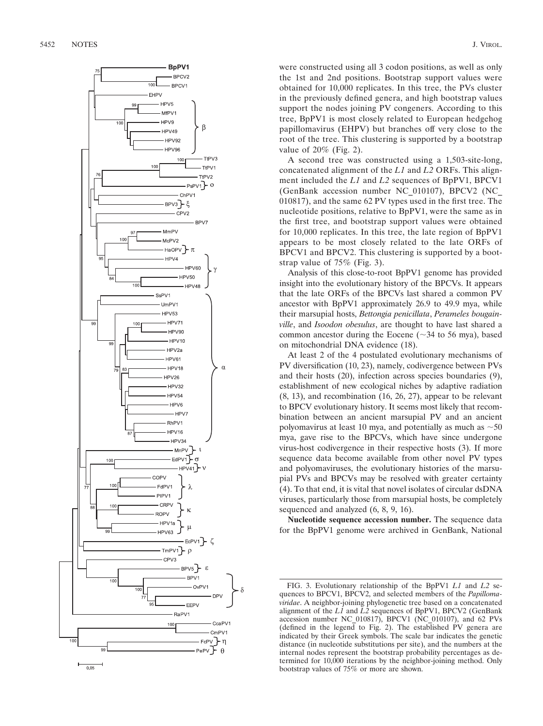

were constructed using all 3 codon positions, as well as only the 1st and 2nd positions. Bootstrap support values were obtained for 10,000 replicates. In this tree, the PVs cluster in the previously defined genera, and high bootstrap values support the nodes joining PV congeners. According to this tree, BpPV1 is most closely related to European hedgehog papillomavirus (EHPV) but branches off very close to the root of the tree. This clustering is supported by a bootstrap value of 20% (Fig. 2).

A second tree was constructed using a 1,503-site-long, concatenated alignment of the *L1* and *L2* ORFs. This alignment included the *L1* and *L2* sequences of BpPV1, BPCV1 (GenBank accession number NC\_010107), BPCV2 (NC\_ 010817), and the same 62 PV types used in the first tree. The nucleotide positions, relative to BpPV1, were the same as in the first tree, and bootstrap support values were obtained for 10,000 replicates. In this tree, the late region of BpPV1 appears to be most closely related to the late ORFs of BPCV1 and BPCV2. This clustering is supported by a bootstrap value of 75% (Fig. 3).

Analysis of this close-to-root BpPV1 genome has provided insight into the evolutionary history of the BPCVs. It appears that the late ORFs of the BPCVs last shared a common PV ancestor with BpPV1 approximately 26.9 to 49.9 mya, while their marsupial hosts, *Bettongia penicillata* , *Perameles bougainville*, and *Isoodon obesulus*, are thought to have last shared a common ancestor during the Eocene ( $\sim$ 34 to 56 mya), based on mitochondrial DNA evidence (18).

At least 2 of the 4 postulated evolutionary mechanisms of PV diversification (10, 23), namely, codivergence between PVs and their hosts (20), infection across species boundaries (9), establishment of new ecological niches by adaptive radiation (8, 13), and recombination (16, 26, 27), appear to be relevant to BPCV evolutionary history. It seems most likely that recombination between an ancient marsupial PV and an ancient polyomavirus at least 10 mya, and potentially as much as  $\sim$  50 mya, gave rise to the BPCVs, which have since undergone virus-host codivergence in their respective hosts (3). If more sequence data become available from other novel PV types and polyomaviruses, the evolutionary histories of the marsupial PVs and BPCVs may be resolved with greater certainty (4). To that end, it is vital that novel isolates of circular dsDNA viruses, particularly those from marsupial hosts, be completely sequenced and analyzed (6, 8, 9, 16).

**Nucleotide sequence accession number.** The sequence data for the BpPV1 genome were archived in GenBank, National

FIG. 3. Evolutionary relationship of the BpPV1 *L1* and *L2* sequences to BPCV1, BPCV2, and selected members of the *Papillomaviridae*. A neighbor-joining phylogenetic tree based on a concatenated alignment of the *L1* and *L2* sequences of BpPV1, BPCV2 (GenBank accession number NC\_010817), BPCV1 (NC\_010107), and 62 PVs (defined in the legend to Fig. 2). The established PV genera are indicated by their Greek symbols. The scale bar indicates the genetic distance (in nucleotide substitutions per site), and the numbers at the internal nodes represent the bootstrap probability percentages as determined for 10,000 iterations by the neighbor-joining method. Only bootstrap values of 75% or more are shown.